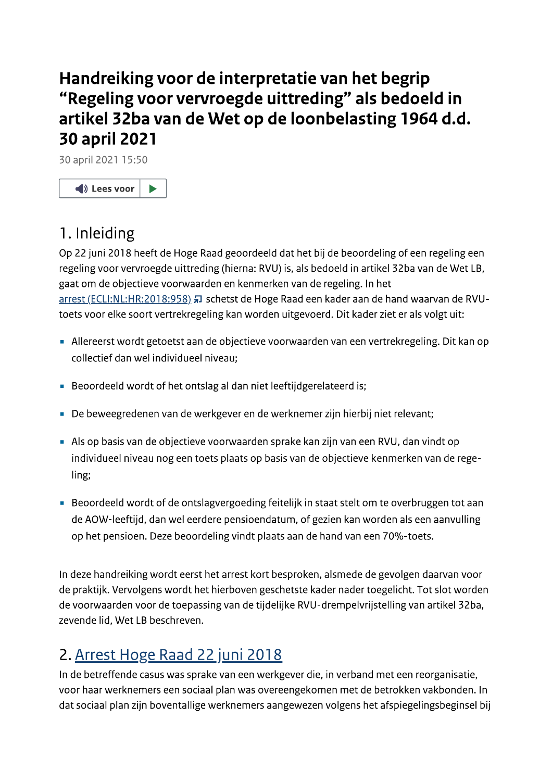# Handreiking voor de interpretatie van het begrip "Regeling voor vervroegde uittreding" als bedoeld in artikel 32ba van de Wet op de loonbelasting 1964 d.d. **30 april 2021**

30 april 2021 15:50



# 1. Inleiding

Op 22 juni 2018 heeft de Hoge Raad geoordeeld dat het bij de beoordeling of een regeling een regeling voor vervroegde uittreding (hierna: RVU) is, als bedoeld in artikel 32ba van de Wet LB, gaat om de objectieve voorwaarden en kenmerken van de regeling. In het arrest (ECLI:NL:HR:2018:958) # schetst de Hoge Raad een kader aan de hand waarvan de RVUtoets voor elke soort vertrekregeling kan worden uitgevoerd. Dit kader ziet er als volgt uit:

- Allereerst wordt getoetst aan de objectieve voorwaarden van een vertrekregeling. Dit kan op collectief dan wel individueel niveau;
- Beoordeeld wordt of het ontslag al dan niet leeftijdgerelateerd is;
- De beweegredenen van de werkgever en de werknemer zijn hierbij niet relevant;
- Als op basis van de objectieve voorwaarden sprake kan zijn van een RVU, dan vindt op individueel niveau nog een toets plaats op basis van de objectieve kenmerken van de regeling:
- Beoordeeld wordt of de ontslagvergoeding feitelijk in staat stelt om te overbruggen tot aan de AOW-leeftijd, dan wel eerdere pensioendatum, of gezien kan worden als een aanvulling op het pensioen. Deze beoordeling vindt plaats aan de hand van een 70%-toets.

In deze handreiking wordt eerst het arrest kort besproken, alsmede de gevolgen daarvan voor de praktijk. Vervolgens wordt het hierboven geschetste kader nader toegelicht. Tot slot worden de voorwaarden voor de toepassing van de tijdelijke RVU-drempelvrijstelling van artikel 32ba, zevende lid. Wet LB beschreven.

# 2. Arrest Hoge Raad 22 juni 2018

In de betreffende casus was sprake van een werkgever die, in verband met een reorganisatie, voor haar werknemers een sociaal plan was overeengekomen met de betrokken vakbonden. In dat sociaal plan zijn boventallige werknemers aangewezen volgens het afspiegelingsbeginsel bij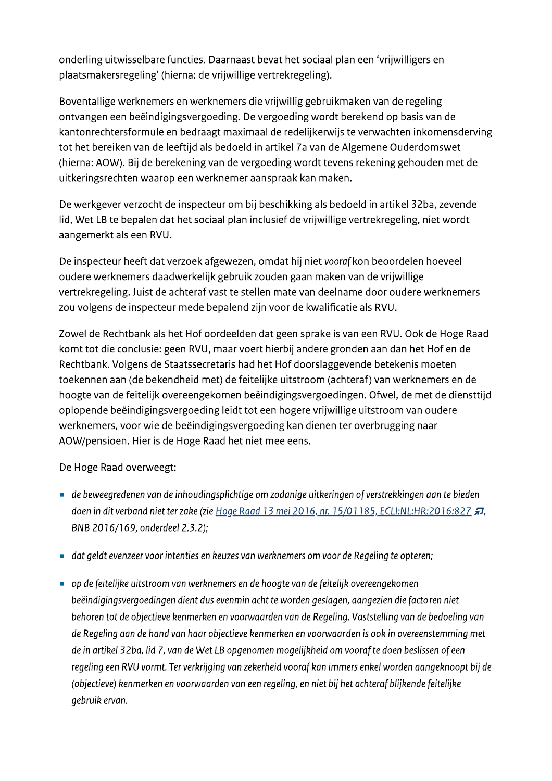onderling uitwisselbare functies. Daarnaast bevat het sociaal plan een 'vrijwilligers en plaatsmakersregeling' (hierna: de vrijwillige vertrekregeling).

Boventallige werknemers en werknemers die vrijwillig gebruikmaken van de regeling ontvangen een beëindigingsvergoeding. De vergoeding wordt berekend op basis van de kantonrechtersformule en bedraagt maximaal de redelijkerwijs te verwachten inkomensderving tot het bereiken van de leeftijd als bedoeld in artikel 7a van de Algemene Ouderdomswet (hierna: AOW). Bij de berekening van de vergoeding wordt tevens rekening gehouden met de uitkeringsrechten waarop een werknemer aanspraak kan maken.

De werkgever verzocht de inspecteur om bij beschikking als bedoeld in artikel 32ba, zevende lid, Wet LB te bepalen dat het sociaal plan inclusief de vrijwillige vertrekregeling, niet wordt aangemerkt als een RVU.

De inspecteur heeft dat verzoek afgewezen, omdat hij niet vooraf kon beoordelen hoeveel oudere werknemers daadwerkelijk gebruik zouden gaan maken van de vrijwillige vertrekregeling. Juist de achteraf vast te stellen mate van deelname door oudere werknemers zou volgens de inspecteur mede bepalend zijn voor de kwalificatie als RVU.

Zowel de Rechtbank als het Hof oordeelden dat geen sprake is van een RVU. Ook de Hoge Raad komt tot die conclusie: geen RVU, maar voert hierbij andere gronden aan dan het Hof en de Rechtbank. Volgens de Staatssecretaris had het Hof doorslaggevende betekenis moeten toekennen aan (de bekendheid met) de feitelijke uitstroom (achteraf) van werknemers en de hoogte van de feitelijk overeengekomen beëindigingsvergoedingen. Ofwel, de met de diensttijd oplopende beëindigingsvergoeding leidt tot een hogere vrijwillige uitstroom van oudere werknemers, voor wie de beëindigingsvergoeding kan dienen ter overbrugging naar AOW/pensioen. Hier is de Hoge Raad het niet mee eens.

De Hoge Raad overweegt:

- de beweegredenen van de inhoudingsplichtige om zodanige uitkeringen of verstrekkingen aan te bieden doen in dit verband niet ter zake (zie Hoge Raad 13 mei 2016, nr. 15/01185, ECLI:NL:HR:2016:827 #, BNB 2016/169, onderdeel 2.3.2);
- dat geldt evenzeer voor intenties en keuzes van werknemers om voor de Regeling te opteren;
- op de feitelijke uitstroom van werknemers en de hoogte van de feitelijk overeengekomen beëindigingsvergoedingen dient dus evenmin acht te worden geslagen, aangezien die factoren niet behoren tot de objectieve kenmerken en voorwaarden van de Regeling. Vaststelling van de bedoeling van de Regeling aan de hand van haar objectieve kenmerken en voorwaarden is ook in overeenstemming met de in artikel 32ba, lid 7, van de Wet LB opgenomen mogelijkheid om vooraf te doen beslissen of een regeling een RVU vormt. Ter verkrijging van zekerheid vooraf kan immers enkel worden aangeknoopt bij de (objectieve) kenmerken en voorwaarden van een regeling, en niet bij het achteraf blijkende feitelijke gebruik ervan.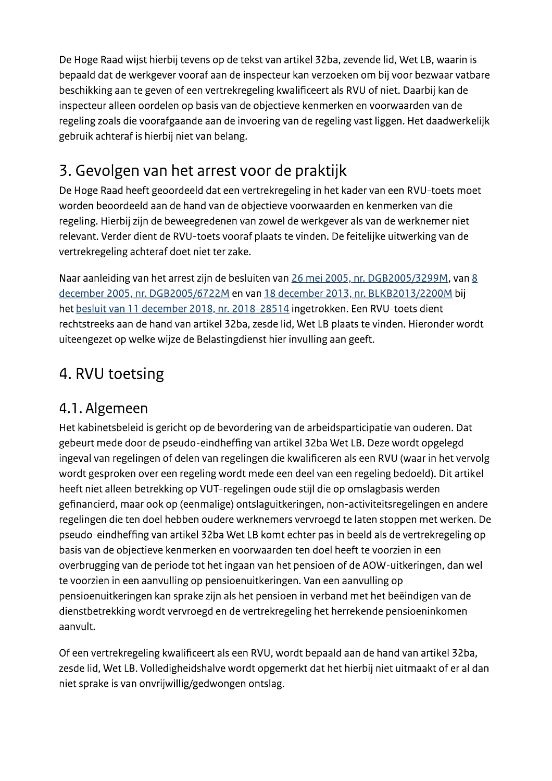De Hoge Raad wijst hierbij tevens op de tekst van artikel 32ba, zevende lid, Wet LB, waarin is bepaald dat de werkgever vooraf aan de inspecteur kan verzoeken om bij voor bezwaar vatbare beschikking aan te geven of een vertrekregeling kwalificeert als RVU of niet. Daarbij kan de inspecteur alleen oordelen op basis van de objectieve kenmerken en voorwaarden van de regeling zoals die voorafgaande aan de invoering van de regeling vast liggen. Het daadwerkelijk gebruik achteraf is hierbij niet van belang.

# 3. Gevolgen van het arrest voor de praktijk

De Hoge Raad heeft geoordeeld dat een vertrekregeling in het kader van een RVU-toets moet worden beoordeeld aan de hand van de objectieve voorwaarden en kenmerken van die regeling. Hierbij zijn de beweegredenen van zowel de werkgever als van de werknemer niet relevant. Verder dient de RVU-toets vooraf plaats te vinden. De feitelijke uitwerking van de vertrekregeling achteraf doet niet ter zake.

Naar aanleiding van het arrest zijn de besluiten van 26 mei 2005, nr. DGB2005/3299M, van 8 december 2005, nr. DGB2005/6722M en van 18 december 2013, nr. BLKB2013/2200M bij het besluit van 11 december 2018, nr. 2018-28514 ingetrokken. Een RVU-toets dient rechtstreeks aan de hand van artikel 32ba, zesde lid, Wet LB plaats te vinden. Hieronder wordt uiteengezet op welke wijze de Belastingdienst hier invulling aan geeft.

# 4. RVU toetsing

# 4.1. Algemeen

Het kabinetsbeleid is gericht op de bevordering van de arbeidsparticipatie van ouderen. Dat gebeurt mede door de pseudo-eindheffing van artikel 32ba Wet LB. Deze wordt opgelegd ingeval van regelingen of delen van regelingen die kwalificeren als een RVU (waar in het vervolg wordt gesproken over een regeling wordt mede een deel van een regeling bedoeld). Dit artikel heeft niet alleen betrekking op VUT-regelingen oude stijl die op omslagbasis werden gefinancierd, maar ook op (eenmalige) ontslaguitkeringen, non-activiteitsregelingen en andere regelingen die ten doel hebben oudere werknemers vervroegd te laten stoppen met werken. De pseudo-eindheffing van artikel 32ba Wet LB komt echter pas in beeld als de vertrekregeling op basis van de objectieve kenmerken en voorwaarden ten doel heeft te voorzien in een overbrugging van de periode tot het ingaan van het pensioen of de AOW-uitkeringen, dan wel te voorzien in een aanvulling op pensioenuitkeringen. Van een aanvulling op pensioenuitkeringen kan sprake zijn als het pensioen in verband met het beëindigen van de dienstbetrekking wordt vervroegd en de vertrekregeling het herrekende pensioeninkomen aanvult.

Of een vertrekregeling kwalificeert als een RVU, wordt bepaald aan de hand van artikel 32ba, zesde lid, Wet LB. Volledigheidshalve wordt opgemerkt dat het hierbij niet uitmaakt of er al dan niet sprake is van onvrijwillig/gedwongen ontslag.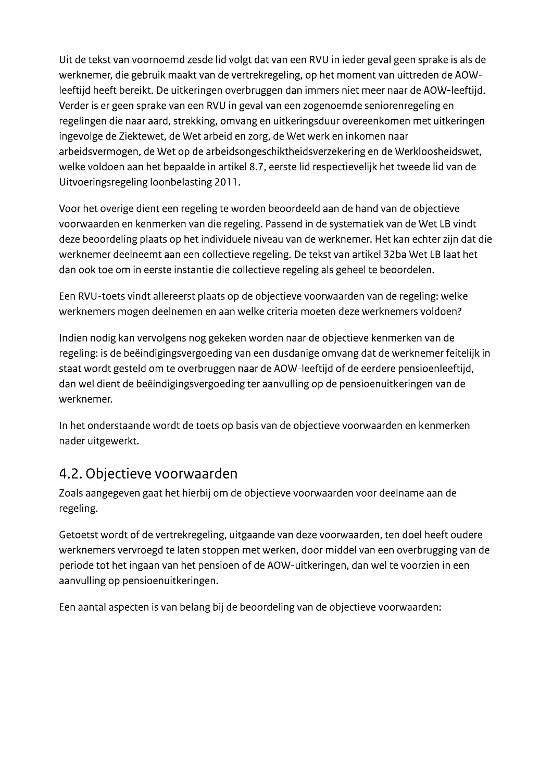Uit de tekst van voornoemd zesde lid volgt dat van een RVU in ieder geval geen sprake is als de werknemer, die gebruik maakt van de vertrekregeling, op het moment van uittreden de AOWleeftijd heeft bereikt. De uitkeringen overbruggen dan immers niet meer naar de AOW-leeftijd. Verder is er geen sprake van een RVU in geval van een zogenoemde seniorenregeling en regelingen die naar aard, strekking, omvang en uitkeringsduur overeenkomen met uitkeringen ingevolge de Ziektewet, de Wet arbeid en zorg, de Wet werk en inkomen naar arbeidsvermogen, de Wet op de arbeidsongeschiktheidsverzekering en de Werkloosheidswet, welke voldoen aan het bepaalde in artikel 8.7, eerste lid respectievelijk het tweede lid van de Uitvoeringsregeling loonbelasting 2011.

Voor het overige dient een regeling te worden beoordeeld aan de hand van de objectieve voorwaarden en kenmerken van die regeling. Passend in de systematiek van de Wet LB vindt deze beoordeling plaats op het individuele niveau van de werknemer. Het kan echter zijn dat die werknemer deelneemt aan een collectieve regeling. De tekst van artikel 32ba Wet LB laat het dan ook toe om in eerste instantie die collectieve regeling als geheel te beoordelen.

Een RVU-toets vindt allereerst plaats op de objectieve voorwaarden van de regeling: welke werknemers mogen deelnemen en aan welke criteria moeten deze werknemers voldoen?

Indien nodig kan vervolgens nog gekeken worden naar de objectieve kenmerken van de regeling: is de beëindigingsvergoeding van een dusdanige omvang dat de werknemer feitelijk in staat wordt gesteld om te overbruggen naar de AOW-leeftijd of de eerdere pensioenleeftijd, dan wel dient de beëindigingsvergoeding ter aanvulling op de pensioenuitkeringen van de werknemer.

In het onderstaande wordt de toets op basis van de objectieve voorwaarden en kenmerken nader uitgewerkt.

# 4.2. Objectieve voorwaarden

Zoals aangegeven gaat het hierbij om de objectieve voorwaarden voor deelname aan de regeling.

Getoetst wordt of de vertrekregeling, uitgaande van deze voorwaarden, ten doel heeft oudere werknemers vervroegd te laten stoppen met werken, door middel van een overbrugging van de periode tot het ingaan van het pensioen of de AOW-uitkeringen, dan wel te voorzien in een aanvulling op pensioenuitkeringen.

Een aantal aspecten is van belang bij de beoordeling van de objectieve voorwaarden: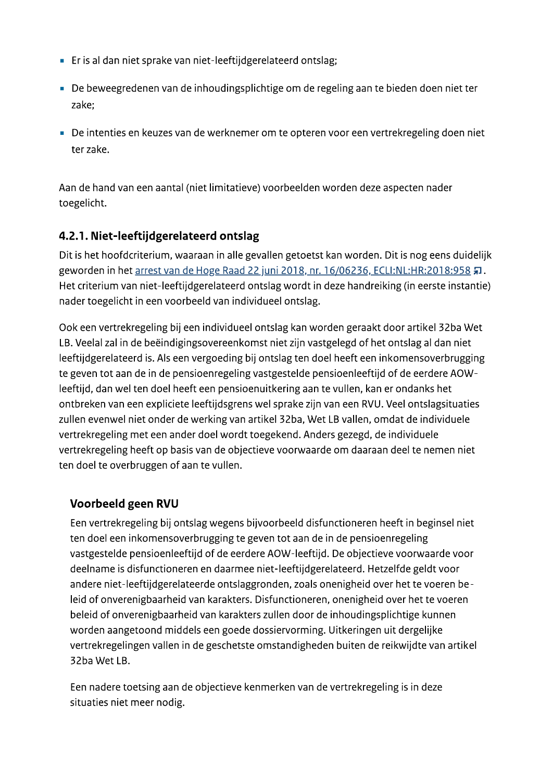- Er is al dan niet sprake van niet-leeftijdgerelateerd ontslag;
- De beweegredenen van de inhoudingsplichtige om de regeling aan te bieden doen niet ter zake:
- De intenties en keuzes van de werknemer om te opteren voor een vertrekregeling doen niet ter zake.

Aan de hand van een aantal (niet limitatieve) voorbeelden worden deze aspecten nader toegelicht.

## 4.2.1. Niet-leeftijdgerelateerd ontslag

Dit is het hoofdcriterium, waaraan in alle gevallen getoetst kan worden. Dit is nog eens duidelijk geworden in het arrest van de Hoge Raad 22 juni 2018, nr. 16/06236, ECLI:NL:HR:2018:958 ,. Het criterium van niet-leeftijdgerelateerd ontslag wordt in deze handreiking (in eerste instantie) nader toegelicht in een voorbeeld van individueel ontslag.

Ook een vertrekregeling bij een individueel ontslag kan worden geraakt door artikel 32ba Wet LB. Veelal zal in de beëindigingsovereenkomst niet zijn vastgelegd of het ontslag al dan niet leeftijdgerelateerd is. Als een vergoeding bij ontslag ten doel heeft een inkomensoverbrugging te geven tot aan de in de pensioenregeling vastgestelde pensioenleeftijd of de eerdere AOWleeftijd, dan wel ten doel heeft een pensioenuitkering aan te vullen, kan er ondanks het ontbreken van een expliciete leeftijdsgrens wel sprake zijn van een RVU. Veel ontslagsituaties zullen evenwel niet onder de werking van artikel 32ba, Wet LB vallen, omdat de individuele vertrekregeling met een ander doel wordt toegekend. Anders gezegd, de individuele vertrekregeling heeft op basis van de objectieve voorwaarde om daaraan deel te nemen niet ten doel te overbruggen of aan te vullen.

## Voorbeeld geen RVU

Een vertrekregeling bij ontslag wegens bijvoorbeeld disfunctioneren heeft in beginsel niet ten doel een inkomensoverbrugging te geven tot aan de in de pensioenregeling vastgestelde pensioenleeftijd of de eerdere AOW-leeftijd. De objectieve voorwaarde voor deelname is disfunctioneren en daarmee niet-leeftijdgerelateerd. Hetzelfde geldt voor andere niet-leeftijdgerelateerde ontslaggronden, zoals onenigheid over het te voeren beleid of onverenigbaarheid van karakters. Disfunctioneren, onenigheid over het te voeren beleid of onverenigbaarheid van karakters zullen door de inhoudingsplichtige kunnen worden aangetoond middels een goede dossiervorming. Uitkeringen uit dergelijke vertrekregelingen vallen in de geschetste omstandigheden buiten de reikwijdte van artikel 32ba Wet LB.

Een nadere toetsing aan de objectieve kenmerken van de vertrekregeling is in deze situaties niet meer nodig.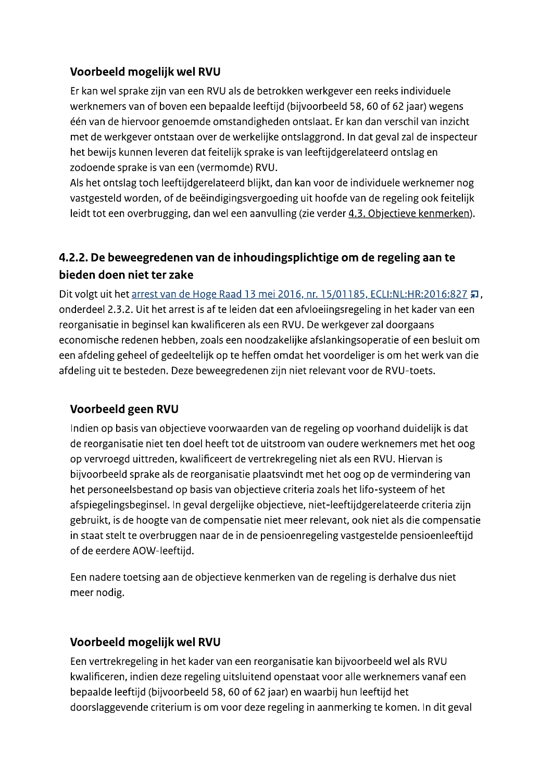## Voorbeeld mogelijk wel RVU

Er kan wel sprake zijn van een RVU als de betrokken werkgever een reeks individuele werknemers van of boven een bepaalde leeftijd (bijvoorbeeld 58, 60 of 62 jaar) wegens één van de hiervoor genoemde omstandigheden ontslaat. Er kan dan verschil van inzicht met de werkgever ontstaan over de werkelijke ontslaggrond. In dat geval zal de inspecteur het bewijs kunnen leveren dat feitelijk sprake is van leeftijdgerelateerd ontslag en zodoende sprake is van een (vermomde) RVU.

Als het ontslag toch leeftijdgerelateerd blijkt, dan kan voor de individuele werknemer nog vastgesteld worden, of de beëindigingsvergoeding uit hoofde van de regeling ook feitelijk leidt tot een overbrugging, dan wel een aanvulling (zie verder 4.3. Objectieve kenmerken).

## 4.2.2. De beweegredenen van de inhoudingsplichtige om de regeling aan te bieden doen niet ter zake

Dit volgt uit het arrest van de Hoge Raad 13 mei 2016, nr. 15/01185, ECLI:NL:HR:2016:827 7, onderdeel 2.3.2. Uit het arrest is af te leiden dat een afvloeiingsregeling in het kader van een reorganisatie in beginsel kan kwalificeren als een RVU. De werkgever zal doorgaans economische redenen hebben, zoals een noodzakelijke afslankingsoperatie of een besluit om een afdeling geheel of gedeeltelijk op te heffen omdat het voordeliger is om het werk van die afdeling uit te besteden. Deze beweegredenen zijn niet relevant voor de RVU-toets.

### Voorbeeld geen RVU

Indien op basis van objectieve voorwaarden van de regeling op voorhand duidelijk is dat de reorganisatie niet ten doel heeft tot de uitstroom van oudere werknemers met het oog op vervroegd uittreden, kwalificeert de vertrekregeling niet als een RVU. Hiervan is bijvoorbeeld sprake als de reorganisatie plaatsvindt met het oog op de vermindering van het personeelsbestand op basis van objectieve criteria zoals het lifo-systeem of het afspiegelingsbeginsel. In geval dergelijke objectieve, niet-leeftijdgerelateerde criteria zijn gebruikt, is de hoogte van de compensatie niet meer relevant, ook niet als die compensatie in staat stelt te overbruggen naar de in de pensioenregeling vastgestelde pensioenleeftijd of de eerdere AOW-leeftijd.

Een nadere toetsing aan de objectieve kenmerken van de regeling is derhalve dus niet meer nodig.

### Voorbeeld mogelijk wel RVU

Een vertrekregeling in het kader van een reorganisatie kan bijvoorbeeld wel als RVU kwalificeren, indien deze regeling uitsluitend openstaat voor alle werknemers vanaf een bepaalde leeftijd (bijvoorbeeld 58, 60 of 62 jaar) en waarbij hun leeftijd het doorslaggevende criterium is om voor deze regeling in aanmerking te komen. In dit geval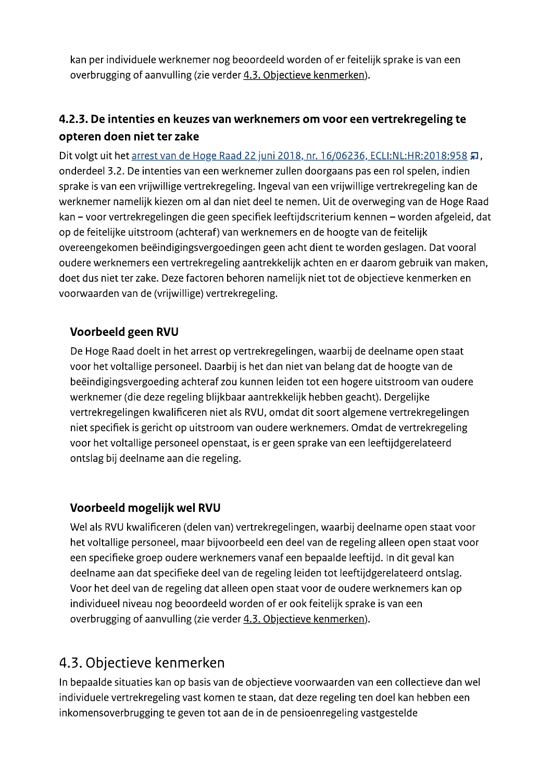kan per individuele werknemer nog beoordeeld worden of er feitelijk sprake is van een overbrugging of aanvulling (zie verder 4.3. Objectieve kenmerken).

## 4.2.3. De intenties en keuzes van werknemers om voor een vertrekregeling te opteren doen niet ter zake

Dit volgt uit het arrest van de Hoge Raad 22 juni 2018, nr. 16/06236, ECLI:NL:HR:2018:958 #, onderdeel 3.2. De intenties van een werknemer zullen doorgaans pas een rol spelen, indien sprake is van een vrijwillige vertrekregeling. Ingeval van een vrijwillige vertrekregeling kan de werknemer namelijk kiezen om al dan niet deel te nemen. Uit de overweging van de Hoge Raad kan – voor vertrekregelingen die geen specifiek leeftijdscriterium kennen – worden afgeleid, dat op de feitelijke uitstroom (achteraf) van werknemers en de hoogte van de feitelijk overeengekomen beëindigingsvergoedingen geen acht dient te worden geslagen. Dat vooral oudere werknemers een vertrekregeling aantrekkelijk achten en er daarom gebruik van maken, doet dus niet ter zake. Deze factoren behoren namelijk niet tot de objectieve kenmerken en voorwaarden van de (vrijwillige) vertrekregeling.

### Voorbeeld geen RVU

De Hoge Raad doelt in het arrest op vertrekregelingen, waarbij de deelname open staat voor het voltallige personeel. Daarbij is het dan niet van belang dat de hoogte van de beëindigingsvergoeding achteraf zou kunnen leiden tot een hogere uitstroom van oudere werknemer (die deze regeling blijkbaar aantrekkelijk hebben geacht). Dergelijke vertrekregelingen kwalificeren niet als RVU, omdat dit soort algemene vertrekregelingen niet specifiek is gericht op uitstroom van oudere werknemers. Omdat de vertrekregeling voor het voltallige personeel openstaat, is er geen sprake van een leeftijdgerelateerd ontslag bij deelname aan die regeling.

### Voorbeeld mogelijk wel RVU

Wel als RVU kwalificeren (delen van) vertrekregelingen, waarbij deelname open staat voor het voltallige personeel, maar bijvoorbeeld een deel van de regeling alleen open staat voor een specifieke groep oudere werknemers vanaf een bepaalde leeftijd. In dit geval kan deelname aan dat specifieke deel van de regeling leiden tot leeftijdgerelateerd ontslag. Voor het deel van de regeling dat alleen open staat voor de oudere werknemers kan op individueel niveau nog beoordeeld worden of er ook feitelijk sprake is van een overbrugging of aanvulling (zie verder 4.3. Objectieve kenmerken).

# 4.3. Objectieve kenmerken

In bepaalde situaties kan op basis van de objectieve voorwaarden van een collectieve dan wel individuele vertrekregeling vast komen te staan, dat deze regeling ten doel kan hebben een inkomensoverbrugging te geven tot aan de in de pensioenregeling vastgestelde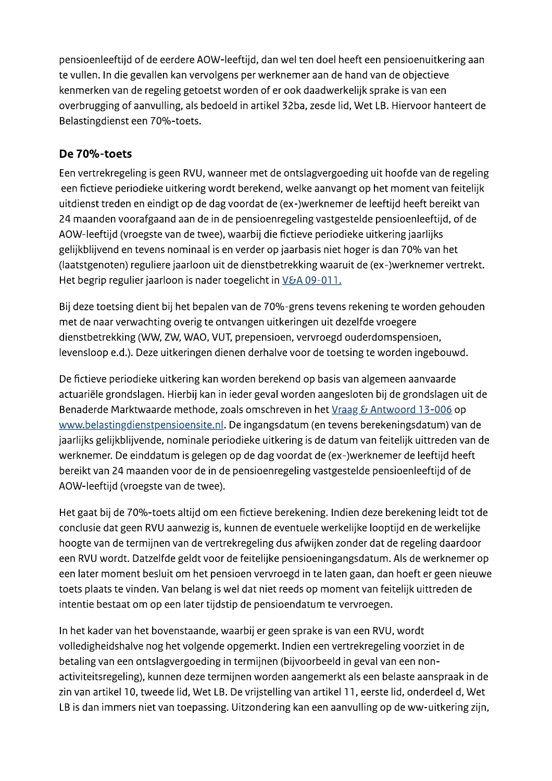pensioenleeftijd of de eerdere AOW-leeftijd, dan wel ten doel heeft een pensioenuitkering aan te vullen. In die gevallen kan vervolgens per werknemer aan de hand van de objectieve kenmerken van de regeling getoetst worden of er ook daadwerkelijk sprake is van een overbrugging of aanvulling, als bedoeld in artikel 32ba, zesde lid, Wet LB. Hiervoor hanteert de Belastingdienst een 70%-toets.

### De 70%-toets

Een vertrekregeling is geen RVU, wanneer met de ontslagvergoeding uit hoofde van de regeling een fictieve periodieke uitkering wordt berekend, welke aanvangt op het moment van feitelijk uitdienst treden en eindigt op de dag voordat de (ex-)werknemer de leeftijd heeft bereikt van 24 maanden voorafgaand aan de in de pensioenregeling vastgestelde pensioenleeftijd, of de AOW-leeftijd (vroegste van de twee), waarbij die fictieve periodieke uitkering jaarlijks gelijkblijvend en tevens nominaal is en verder op jaarbasis niet hoger is dan 70% van het (laatstgenoten) reguliere jaarloon uit de dienstbetrekking waaruit de (ex-)werknemer vertrekt. Het begrip regulier jaarloon is nader toegelicht in V&A 09-011.

Bij deze toetsing dient bij het bepalen van de 70%-grens tevens rekening te worden gehouden met de naar verwachting overig te ontvangen uitkeringen uit dezelfde vroegere dienstbetrekking (WW, ZW, WAO, VUT, prepensioen, vervroegd ouderdomspensioen, levensloop e.d.). Deze uitkeringen dienen derhalve voor de toetsing te worden ingebouwd.

De fictieve periodieke uitkering kan worden berekend op basis van algemeen aanvaarde actuariële grondslagen. Hierbij kan in ieder geval worden aangesloten bij de grondslagen uit de Benaderde Marktwaarde methode, zoals omschreven in het Vraag & Antwoord 13-006 op www.belastingdienstpensioensite.nl. De ingangsdatum (en tevens berekeningsdatum) van de jaarlijks gelijkblijvende, nominale periodieke uitkering is de datum van feitelijk uittreden van de werknemer. De einddatum is gelegen op de dag voordat de (ex-)werknemer de leeftijd heeft bereikt van 24 maanden voor de in de pensioenregeling vastgestelde pensioenleeftijd of de AOW-leeftijd (vroegste van de twee).

Het gaat bij de 70%-toets altijd om een fictieve berekening. Indien deze berekening leidt tot de conclusie dat geen RVU aanwezig is, kunnen de eventuele werkelijke looptijd en de werkelijke hoogte van de termijnen van de vertrekregeling dus afwijken zonder dat de regeling daardoor een RVU wordt. Datzelfde geldt voor de feitelijke pensioeningangsdatum. Als de werknemer op een later moment besluit om het pensioen vervroegd in te laten gaan, dan hoeft er geen nieuwe toets plaats te vinden. Van belang is wel dat niet reeds op moment van feitelijk uittreden de intentie bestaat om op een later tijdstip de pensioendatum te vervroegen.

In het kader van het bovenstaande, waarbij er geen sprake is van een RVU, wordt volledigheidshalve nog het volgende opgemerkt. Indien een vertrekregeling voorziet in de betaling van een ontslagvergoeding in termijnen (bijvoorbeeld in geval van een nonactiviteitsregeling), kunnen deze termijnen worden aangemerkt als een belaste aanspraak in de zin van artikel 10, tweede lid, Wet LB. De vrijstelling van artikel 11, eerste lid, onderdeel d, Wet LB is dan immers niet van toepassing. Uitzondering kan een aanvulling op de ww-uitkering zijn,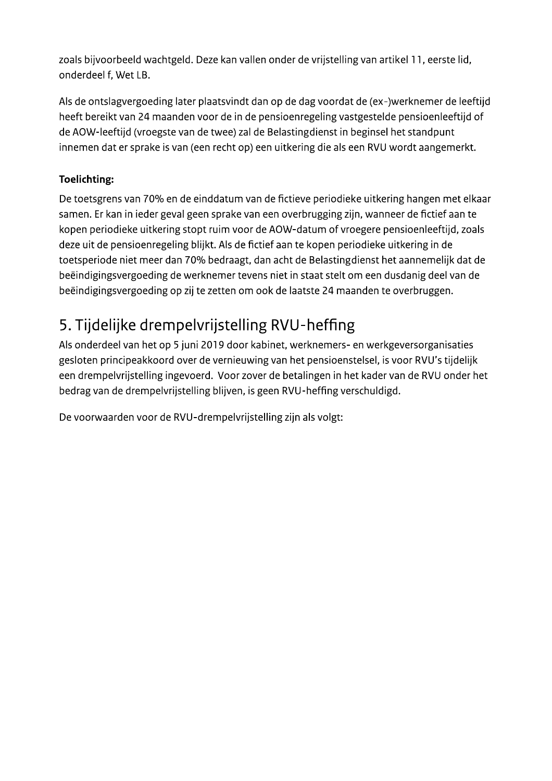zoals bijvoorbeeld wachtgeld. Deze kan vallen onder de vrijstelling van artikel 11, eerste lid, onderdeel f, Wet LB.

Als de ontslagvergoeding later plaatsvindt dan op de dag voordat de (ex-)werknemer de leeftijd heeft bereikt van 24 maanden voor de in de pensioenregeling vastgestelde pensioenleeftijd of de AOW-leeftijd (vroegste van de twee) zal de Belastingdienst in beginsel het standpunt innemen dat er sprake is van (een recht op) een uitkering die als een RVU wordt aangemerkt.

### **Toelichting:**

De toetsgrens van 70% en de einddatum van de fictieve periodieke uitkering hangen met elkaar samen. Er kan in ieder geval geen sprake van een overbrugging zijn, wanneer de fictief aan te kopen periodieke uitkering stopt ruim voor de AOW-datum of vroegere pensioenleeftijd, zoals deze uit de pensioenregeling blijkt. Als de fictief aan te kopen periodieke uitkering in de toetsperiode niet meer dan 70% bedraagt, dan acht de Belastingdienst het aannemelijk dat de beëindigingsvergoeding de werknemer tevens niet in staat stelt om een dusdanig deel van de beëindigingsvergoeding op zij te zetten om ook de laatste 24 maanden te overbruggen.

# 5. Tijdelijke drempelvrijstelling RVU-heffing

Als onderdeel van het op 5 juni 2019 door kabinet, werknemers- en werkgeversorganisaties gesloten principeakkoord over de vernieuwing van het pensioenstelsel, is voor RVU's tijdelijk een drempelvrijstelling ingevoerd. Voor zover de betalingen in het kader van de RVU onder het bedrag van de drempelvrijstelling blijven, is geen RVU-heffing verschuldigd.

De voorwaarden voor de RVU-drempelvrijstelling zijn als volgt: